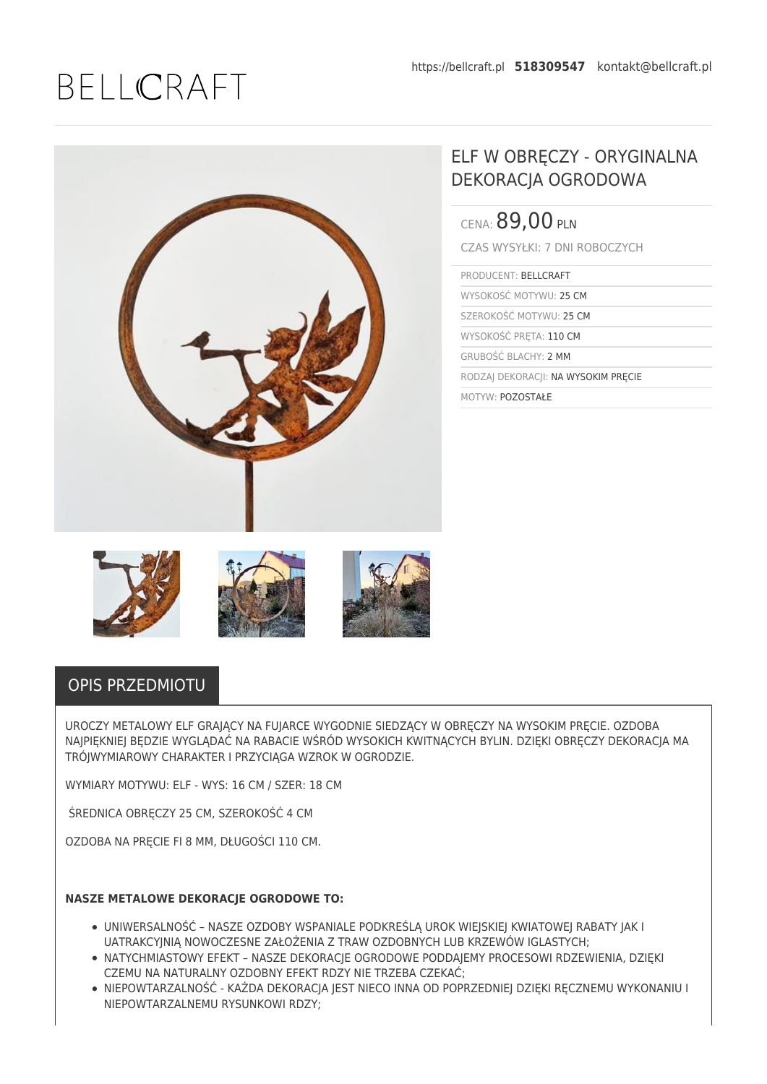## BELLCRAFT



## ELF W OBRĘCZY - ORYGINALNA DEKORACJA OGRODOWA

| CENA: 89,00 PLN                     |
|-------------------------------------|
| CZAS WYSYŁKI: 7 DNI ROBOCZYCH       |
| PRODUCENT: BELLCRAFT                |
| WYSOKOŚĆ MOTYWU: 25 CM              |
| SZEROKOŚĆ MOTYWU: 25 CM             |
| WYSOKOŚĆ PRETA: 110 CM              |
| <b>GRUBOŚĆ BLACHY: 2 MM</b>         |
| RODZAJ DEKORACJI: NA WYSOKIM PRECIE |
| MOTYW: POZOSTAŁE                    |



## OPIS PRZEDMIOTU

UROCZY METALOWY ELF GRAJĄCY NA FUJARCE WYGODNIE SIEDZĄCY W OBRĘCZY NA WYSOKIM PRĘCIE. OZDOBA NAJPIĘKNIEJ BĘDZIE WYGLĄDAĆ NA RABACIE WŚRÓD WYSOKICH KWITNĄCYCH BYLIN. DZIĘKI OBRĘCZY DEKORACJA MA TRÓJWYMIAROWY CHARAKTER I PRZYCIĄGA WZROK W OGRODZIE.

WYMIARY MOTYWU: ELF - WYS: 16 CM / SZER: 18 CM

ŚREDNICA OBRECZY 25 CM, SZEROKOŚĆ 4 CM

OZDOBA NA PRĘCIE FI 8 MM, DŁUGOŚCI 110 CM.

## **NASZE METALOWE DEKORACIE OGRODOWE TO:**

- UNIWERSALNOŚĆ NASZE OZDOBY WSPANIALE PODKREŚLĄ UROK WIEJSKIEJ KWIATOWEJ RABATY JAK I UATRAKCYJNIĄ NOWOCZESNE ZAŁOŻENIA Z TRAW OZDOBNYCH LUB KRZEWÓW IGLASTYCH;
- **NATYCHMIASTOWY EFEKT NASZE DEKORACJE OGRODOWE PODDAJEMY PROCESOWI RDZEWIENIA, DZIĘKI** CZEMU NA NATURALNY OZDOBNY EFEKT RDZY NIE TRZEBA CZEKAĆ;
- NIEPOWTARZALNOŚĆ KAŻDA DEKORACJA JEST NIECO INNA OD POPRZEDNIEJ DZIĘKI RĘCZNEMU WYKONANIU I NIEPOWTARZALNEMU RYSUNKOWI RDZY;